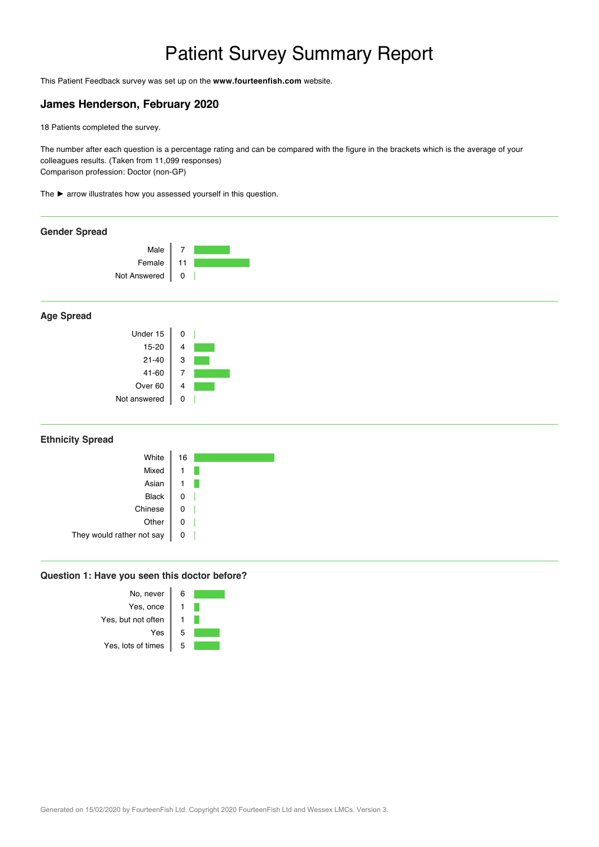# Patient Survey Summary Report <sup>ᄞ</sup>

This Patient Feedback survey was set up on the **www.fourteenfish.com** website.

# **James Henderson, February 2020**

18 Patients completed the survey.

The number after each question is a percentage rating and can be compared with the figure in the brackets which is the average of your colleagues results. (Taken from 11,099 responses) Comparison profession: Doctor (non-GP)

The ► arrow illustrates how you assessed yourself in this question.



## **Age Spread**



### **Ethnicity Spread**

| White                     | 16 |
|---------------------------|----|
| Mixed                     |    |
| Asian                     |    |
| <b>Black</b>              |    |
| Chinese                   |    |
| Other                     |    |
| They would rather not say |    |
|                           |    |

#### **Question 1: Have you seen this doctor before?**

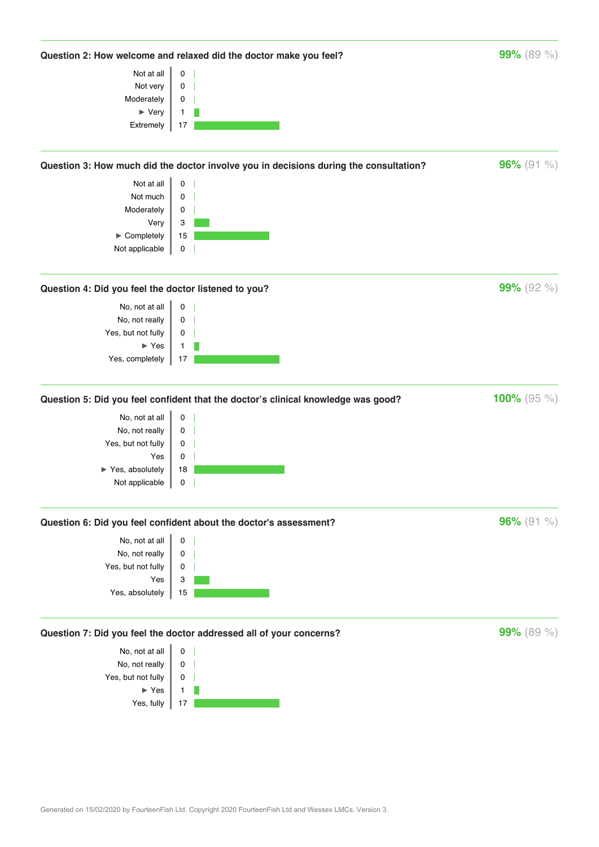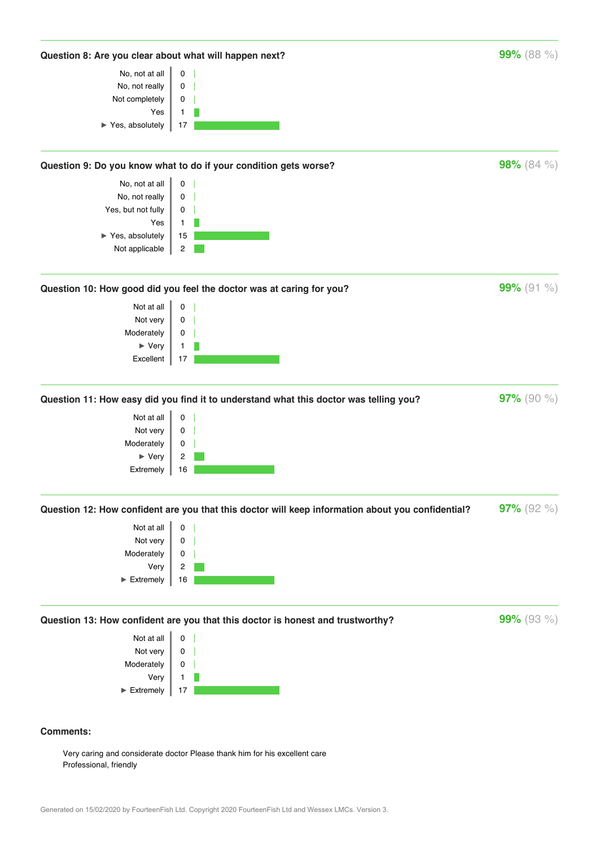

Very caring and considerate doctor Please thank him for his excellent care Professional, friendly